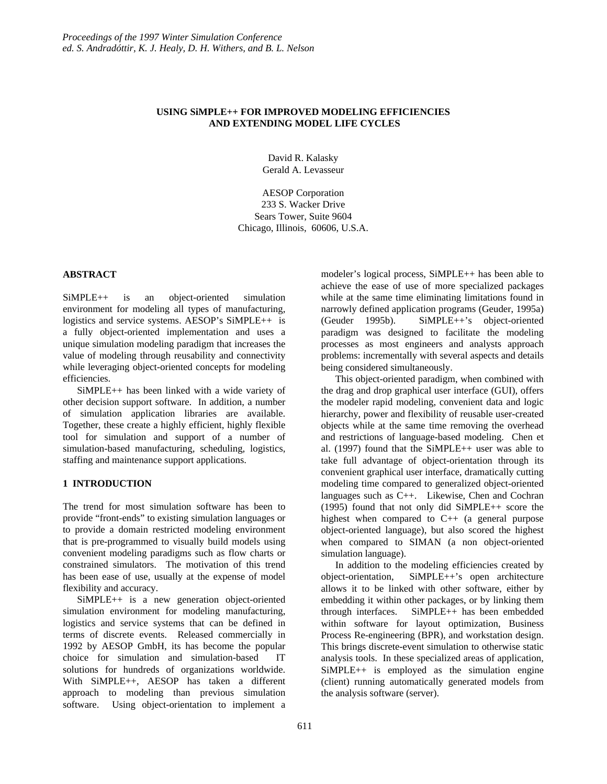# **USING SiMPLE++ FOR IMPROVED MODELING EFFICIENCIES AND EXTENDING MODEL LIFE CYCLES**

David R. Kalasky Gerald A. Levasseur

AESOP Corporation 233 S. Wacker Drive Sears Tower, Suite 9604 Chicago, Illinois, 60606, U.S.A.

#### **ABSTRACT**

SiMPLE++ is an object-oriented simulation environment for modeling all types of manufacturing, logistics and service systems. AESOP's SiMPLE++ is a fully object-oriented implementation and uses a unique simulation modeling paradigm that increases the value of modeling through reusability and connectivity while leveraging object-oriented concepts for modeling efficiencies.

SiMPLE++ has been linked with a wide variety of other decision support software. In addition, a number of simulation application libraries are available. Together, these create a highly efficient, highly flexible tool for simulation and support of a number of simulation-based manufacturing, scheduling, logistics, staffing and maintenance support applications.

# **1 INTRODUCTION**

The trend for most simulation software has been to provide "front-ends" to existing simulation languages or to provide a domain restricted modeling environment that is pre-programmed to visually build models using convenient modeling paradigms such as flow charts or constrained simulators. The motivation of this trend has been ease of use, usually at the expense of model flexibility and accuracy.

SiMPLE++ is a new generation object-oriented simulation environment for modeling manufacturing, logistics and service systems that can be defined in terms of discrete events. Released commercially in 1992 by AESOP GmbH, its has become the popular choice for simulation and simulation-based IT solutions for hundreds of organizations worldwide. With SiMPLE++, AESOP has taken a different approach to modeling than previous simulation software. Using object-orientation to implement a modeler's logical process, SiMPLE++ has been able to achieve the ease of use of more specialized packages while at the same time eliminating limitations found in narrowly defined application programs (Geuder, 1995a) (Geuder 1995b). SiMPLE++'s object-oriented paradigm was designed to facilitate the modeling processes as most engineers and analysts approach problems: incrementally with several aspects and details being considered simultaneously.

This object-oriented paradigm, when combined with the drag and drop graphical user interface (GUI), offers the modeler rapid modeling, convenient data and logic hierarchy, power and flexibility of reusable user-created objects while at the same time removing the overhead and restrictions of language-based modeling. Chen et al. (1997) found that the SiMPLE++ user was able to take full advantage of object-orientation through its convenient graphical user interface, dramatically cutting modeling time compared to generalized object-oriented languages such as C++. Likewise, Chen and Cochran (1995) found that not only did SiMPLE++ score the highest when compared to C++ (a general purpose object-oriented language), but also scored the highest when compared to SIMAN (a non object-oriented simulation language).

In addition to the modeling efficiencies created by object-orientation, SiMPLE++'s open architecture allows it to be linked with other software, either by embedding it within other packages, or by linking them through interfaces. SiMPLE++ has been embedded within software for layout optimization, Business Process Re-engineering (BPR), and workstation design. This brings discrete-event simulation to otherwise static analysis tools. In these specialized areas of application, SiMPLE++ is employed as the simulation engine (client) running automatically generated models from the analysis software (server).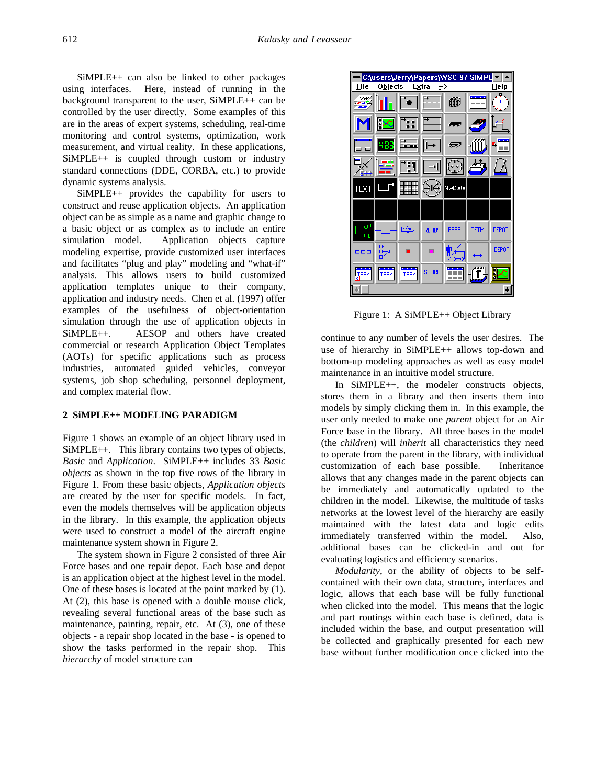SiMPLE++ can also be linked to other packages using interfaces. Here, instead of running in the background transparent to the user, SiMPLE++ can be controlled by the user directly. Some examples of this are in the areas of expert systems, scheduling, real-time monitoring and control systems, optimization, work measurement, and virtual reality. In these applications, SiMPLE++ is coupled through custom or industry standard connections (DDE, CORBA, etc.) to provide dynamic systems analysis.

SiMPLE++ provides the capability for users to construct and reuse application objects. An application object can be as simple as a name and graphic change to a basic object or as complex as to include an entire simulation model. Application objects capture modeling expertise, provide customized user interfaces and facilitates "plug and play" modeling and "what-if" analysis. This allows users to build customized application templates unique to their company, application and industry needs. Chen et al. (1997) offer examples of the usefulness of object-orientation simulation through the use of application objects in SiMPLE++. AESOP and others have created commercial or research Application Object Templates (AOTs) for specific applications such as process industries, automated guided vehicles, conveyor systems, job shop scheduling, personnel deployment, and complex material flow.

### **2 SiMPLE++ MODELING PARADIGM**

Figure 1 shows an example of an object library used in SiMPLE++. This library contains two types of objects, *Basic* and *Application*. SiMPLE++ includes 33 *Basic objects* as shown in the top five rows of the library in Figure 1. From these basic objects, *Application objects* are created by the user for specific models. In fact, even the models themselves will be application objects in the library. In this example, the application objects were used to construct a model of the aircraft engine maintenance system shown in Figure 2.

The system shown in Figure 2 consisted of three Air Force bases and one repair depot. Each base and depot is an application object at the highest level in the model. One of these bases is located at the point marked by (1). At (2), this base is opened with a double mouse click, revealing several functional areas of the base such as maintenance, painting, repair, etc. At (3), one of these objects - a repair shop located in the base - is opened to show the tasks performed in the repair shop. This *hierarchy* of model structure can



Figure 1: A SiMPLE++ Object Library

continue to any number of levels the user desires. The use of hierarchy in SiMPLE++ allows top-down and bottom-up modeling approaches as well as easy model maintenance in an intuitive model structure.

In SiMPLE++, the modeler constructs objects, stores them in a library and then inserts them into models by simply clicking them in. In this example, the user only needed to make one *parent* object for an Air Force base in the library. All three bases in the model (the *children*) will *inherit* all characteristics they need to operate from the parent in the library, with individual customization of each base possible. Inheritance allows that any changes made in the parent objects can be immediately and automatically updated to the children in the model. Likewise, the multitude of tasks networks at the lowest level of the hierarchy are easily maintained with the latest data and logic edits immediately transferred within the model. Also, additional bases can be clicked-in and out for evaluating logistics and efficiency scenarios.

*Modularity*, or the ability of objects to be selfcontained with their own data, structure, interfaces and logic, allows that each base will be fully functional when clicked into the model. This means that the logic and part routings within each base is defined, data is included within the base, and output presentation will be collected and graphically presented for each new base without further modification once clicked into the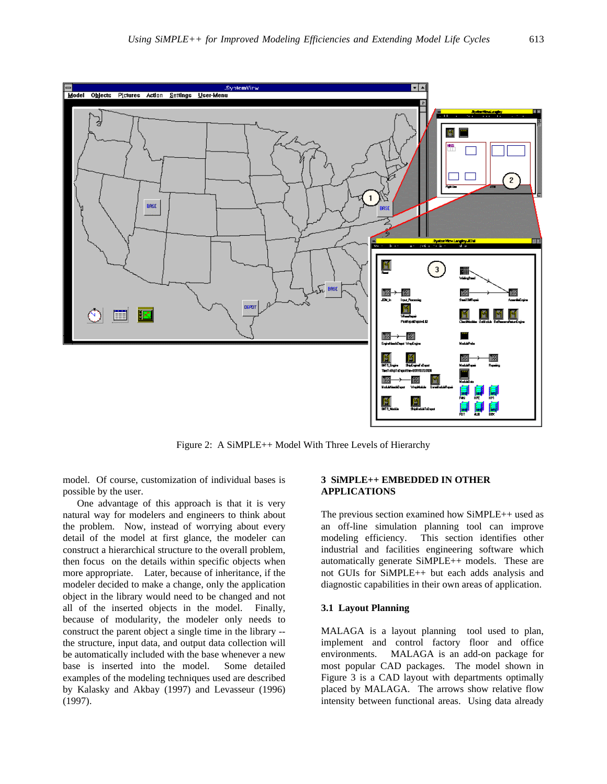

Figure 2: A SiMPLE++ Model With Three Levels of Hierarchy

model. Of course, customization of individual bases is possible by the user.

One advantage of this approach is that it is very natural way for modelers and engineers to think about the problem. Now, instead of worrying about every detail of the model at first glance, the modeler can construct a hierarchical structure to the overall problem, then focus on the details within specific objects when more appropriate. Later, because of inheritance, if the modeler decided to make a change, only the application object in the library would need to be changed and not all of the inserted objects in the model. Finally, because of modularity, the modeler only needs to construct the parent object a single time in the library - the structure, input data, and output data collection will be automatically included with the base whenever a new base is inserted into the model. Some detailed examples of the modeling techniques used are described by Kalasky and Akbay (1997) and Levasseur (1996) (1997).

## **3 SiMPLE++ EMBEDDED IN OTHER APPLICATIONS**

The previous section examined how SiMPLE++ used as an off-line simulation planning tool can improve modeling efficiency. This section identifies other industrial and facilities engineering software which automatically generate SiMPLE++ models. These are not GUIs for SiMPLE++ but each adds analysis and diagnostic capabilities in their own areas of application.

#### **3.1 Layout Planning**

MALAGA is a layout planning tool used to plan, implement and control factory floor and office environments. MALAGA is an add-on package for most popular CAD packages. The model shown in Figure 3 is a CAD layout with departments optimally placed by MALAGA. The arrows show relative flow intensity between functional areas. Using data already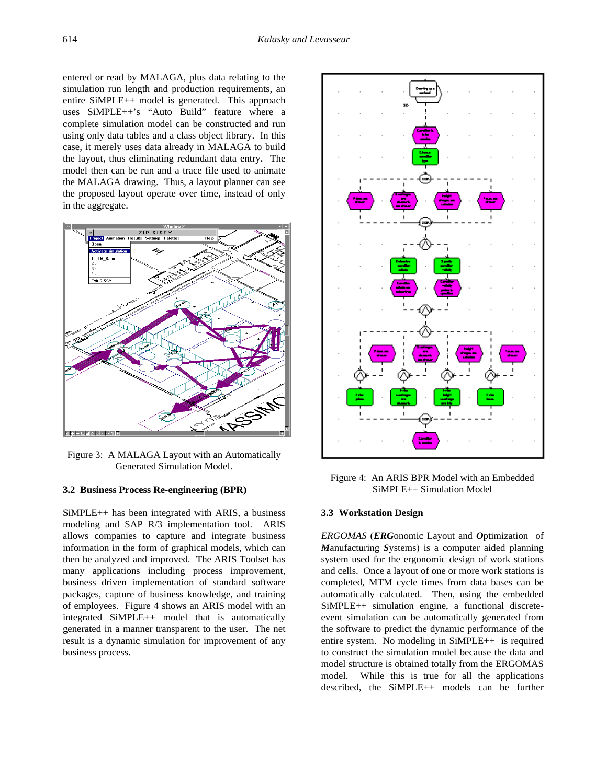entered or read by MALAGA, plus data relating to the simulation run length and production requirements, an entire SiMPLE++ model is generated. This approach uses SiMPLE++'s "Auto Build" feature where a complete simulation model can be constructed and run using only data tables and a class object library. In this case, it merely uses data already in MALAGA to build the layout, thus eliminating redundant data entry. The model then can be run and a trace file used to animate the MALAGA drawing. Thus, a layout planner can see the proposed layout operate over time, instead of only in the aggregate.



Figure 3: A MALAGA Layout with an Automatically Generated Simulation Model.

#### **3.2 Business Process Re-engineering (BPR)**

SiMPLE++ has been integrated with ARIS, a business modeling and SAP R/3 implementation tool. ARIS allows companies to capture and integrate business information in the form of graphical models, which can then be analyzed and improved. The ARIS Toolset has many applications including process improvement, business driven implementation of standard software packages, capture of business knowledge, and training of employees. Figure 4 shows an ARIS model with an integrated SiMPLE++ model that is automatically generated in a manner transparent to the user. The net result is a dynamic simulation for improvement of any business process.



Figure 4: An ARIS BPR Model with an Embedded SiMPLE++ Simulation Model

#### **3.3 Workstation Design**

*ERGOMAS* (*ERG*onomic Layout and *O*ptimization of *M*anufacturing *S*ystems) is a computer aided planning system used for the ergonomic design of work stations and cells. Once a layout of one or more work stations is completed, MTM cycle times from data bases can be automatically calculated. Then, using the embedded SiMPLE++ simulation engine, a functional discreteevent simulation can be automatically generated from the software to predict the dynamic performance of the entire system. No modeling in SiMPLE++ is required to construct the simulation model because the data and model structure is obtained totally from the ERGOMAS model. While this is true for all the applications described, the SiMPLE++ models can be further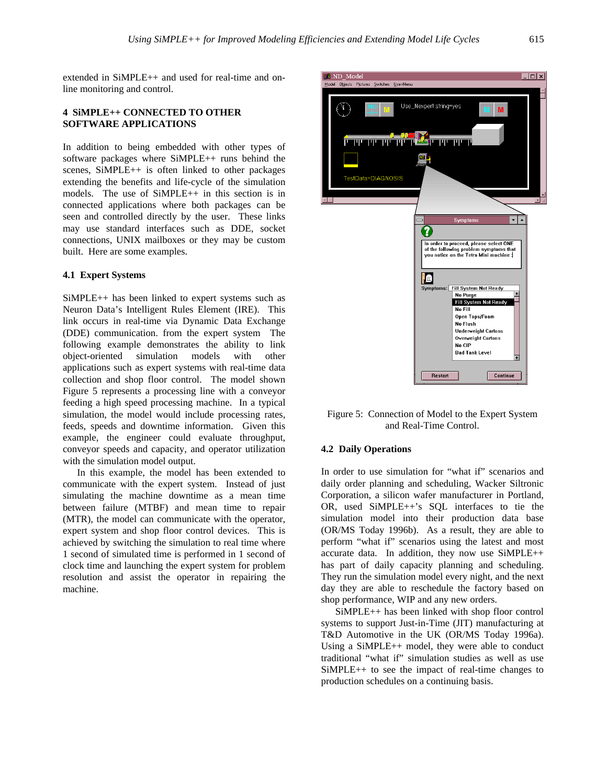extended in SiMPLE++ and used for real-time and online monitoring and control.

### **4 SiMPLE++ CONNECTED TO OTHER SOFTWARE APPLICATIONS**

In addition to being embedded with other types of software packages where SiMPLE++ runs behind the scenes, SiMPLE<sup>++</sup> is often linked to other packages extending the benefits and life-cycle of the simulation models. The use of SiMPLE++ in this section is in connected applications where both packages can be seen and controlled directly by the user. These links may use standard interfaces such as DDE, socket connections, UNIX mailboxes or they may be custom built. Here are some examples.

#### **4.1 Expert Systems**

SiMPLE++ has been linked to expert systems such as Neuron Data's Intelligent Rules Element (IRE). This link occurs in real-time via Dynamic Data Exchange (DDE) communication. from the expert system The following example demonstrates the ability to link object-oriented simulation models with other applications such as expert systems with real-time data collection and shop floor control. The model shown Figure 5 represents a processing line with a conveyor feeding a high speed processing machine. In a typical simulation, the model would include processing rates, feeds, speeds and downtime information. Given this example, the engineer could evaluate throughput, conveyor speeds and capacity, and operator utilization with the simulation model output.

In this example, the model has been extended to communicate with the expert system. Instead of just simulating the machine downtime as a mean time between failure (MTBF) and mean time to repair (MTR), the model can communicate with the operator, expert system and shop floor control devices. This is achieved by switching the simulation to real time where 1 second of simulated time is performed in 1 second of clock time and launching the expert system for problem resolution and assist the operator in repairing the machine.



Figure 5: Connection of Model to the Expert System and Real-Time Control.

#### **4.2 Daily Operations**

In order to use simulation for "what if" scenarios and daily order planning and scheduling, Wacker Siltronic Corporation, a silicon wafer manufacturer in Portland, OR, used SiMPLE++'s SQL interfaces to tie the simulation model into their production data base (OR/MS Today 1996b). As a result, they are able to perform "what if" scenarios using the latest and most accurate data. In addition, they now use SiMPLE++ has part of daily capacity planning and scheduling. They run the simulation model every night, and the next day they are able to reschedule the factory based on shop performance, WIP and any new orders.

SiMPLE++ has been linked with shop floor control systems to support Just-in-Time (JIT) manufacturing at T&D Automotive in the UK (OR/MS Today 1996a). Using a SiMPLE++ model, they were able to conduct traditional "what if" simulation studies as well as use SiMPLE++ to see the impact of real-time changes to production schedules on a continuing basis.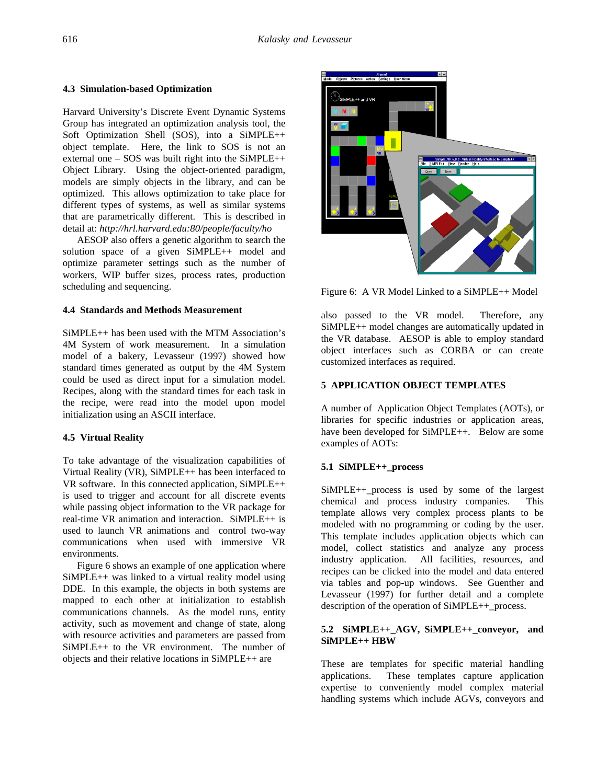)<br>SIMPLE++ and VR

#### **4.3 Simulation-based Optimization**

Harvard University's Discrete Event Dynamic Systems Group has integrated an optimization analysis tool, the Soft Optimization Shell (SOS), into a SiMPLE++ object template. Here, the link to SOS is not an external one – SOS was built right into the SiMPLE++ Object Library. Using the object-oriented paradigm, models are simply objects in the library, and can be optimized. This allows optimization to take place for different types of systems, as well as similar systems that are parametrically different. This is described in detail at: *http://hrl.harvard.edu:80/people/faculty/ho*

AESOP also offers a genetic algorithm to search the solution space of a given SiMPLE++ model and optimize parameter settings such as the number of workers, WIP buffer sizes, process rates, production scheduling and sequencing.

# **4.4 Standards and Methods Measurement**

SiMPLE++ has been used with the MTM Association's 4M System of work measurement. In a simulation model of a bakery, Levasseur (1997) showed how standard times generated as output by the 4M System could be used as direct input for a simulation model. Recipes, along with the standard times for each task in the recipe, were read into the model upon model initialization using an ASCII interface.

# **4.5 Virtual Reality**

To take advantage of the visualization capabilities of Virtual Reality (VR),  $SiMPLE++$  has been interfaced to VR software. In this connected application, SiMPLE++ is used to trigger and account for all discrete events while passing object information to the VR package for real-time VR animation and interaction. SiMPLE++ is used to launch VR animations and control two-way communications when used with immersive VR environments.

Figure 6 shows an example of one application where SiMPLE++ was linked to a virtual reality model using DDE. In this example, the objects in both systems are mapped to each other at initialization to establish communications channels. As the model runs, entity activity, such as movement and change of state, along with resource activities and parameters are passed from SiMPLE++ to the VR environment. The number of objects and their relative locations in SiMPLE++ are



also passed to the VR model. Therefore, any SiMPLE++ model changes are automatically updated in the VR database. AESOP is able to employ standard object interfaces such as CORBA or can create customized interfaces as required.

# **5 APPLICATION OBJECT TEMPLATES**

A number of Application Object Templates (AOTs), or libraries for specific industries or application areas, have been developed for SiMPLE++. Below are some examples of AOTs:

# **5.1 SiMPLE++\_process**

SiMPLE++\_process is used by some of the largest chemical and process industry companies. This template allows very complex process plants to be modeled with no programming or coding by the user. This template includes application objects which can model, collect statistics and analyze any process industry application. All facilities, resources, and recipes can be clicked into the model and data entered via tables and pop-up windows. See Guenther and Levasseur (1997) for further detail and a complete description of the operation of SiMPLE++\_process.

# **5.2 SiMPLE++\_AGV, SiMPLE++\_conveyor, and SiMPLE++ HBW**

These are templates for specific material handling applications. These templates capture application expertise to conveniently model complex material handling systems which include AGVs, conveyors and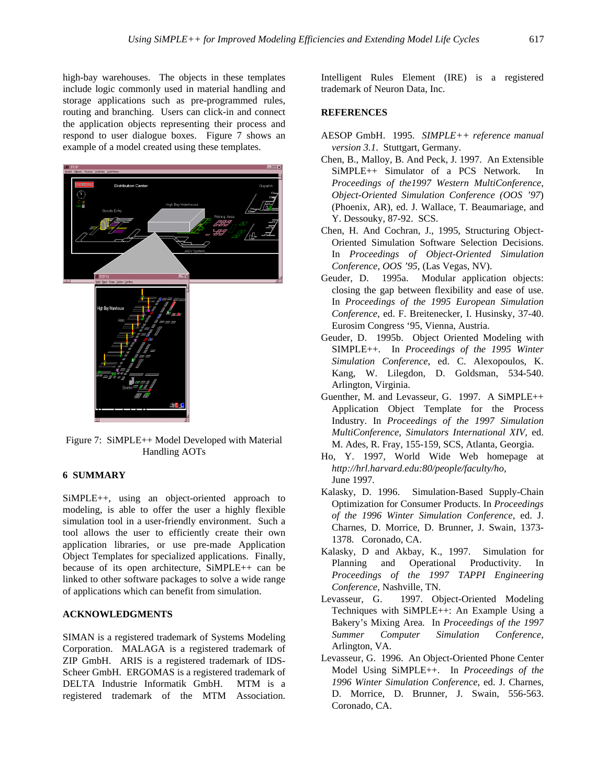high-bay warehouses. The objects in these templates include logic commonly used in material handling and storage applications such as pre-programmed rules, routing and branching. Users can click-in and connect the application objects representing their process and respond to user dialogue boxes. Figure 7 shows an example of a model created using these templates.



Figure 7: SiMPLE++ Model Developed with Material Handling AOTs

# **6 SUMMARY**

SiMPLE++, using an object-oriented approach to modeling, is able to offer the user a highly flexible simulation tool in a user-friendly environment. Such a tool allows the user to efficiently create their own application libraries, or use pre-made Application Object Templates for specialized applications. Finally, because of its open architecture, SiMPLE++ can be linked to other software packages to solve a wide range of applications which can benefit from simulation.

# **ACKNOWLEDGMENTS**

SIMAN is a registered trademark of Systems Modeling Corporation. MALAGA is a registered trademark of ZIP GmbH. ARIS is a registered trademark of IDS-Scheer GmbH. ERGOMAS is a registered trademark of DELTA Industrie Informatik GmbH. MTM is a registered trademark of the MTM Association.

Intelligent Rules Element (IRE) is a registered trademark of Neuron Data, Inc.

#### **REFERENCES**

- AESOP GmbH. 1995. *SIMPLE++ reference manual version 3.1*. Stuttgart, Germany.
- Chen, B., Malloy, B. And Peck, J. 1997. An Extensible SiMPLE++ Simulator of a PCS Network. In *Proceedings of the1997 Western MultiConference, Object-Oriented Simulation Conference (OOS '97*) (Phoenix, AR), ed. J. Wallace, T. Beaumariage, and Y. Dessouky, 87-92. SCS.
- Chen, H. And Cochran, J., 1995, Structuring Object-Oriented Simulation Software Selection Decisions. In *Proceedings of Object-Oriented Simulation Conference, OOS '95,* (Las Vegas, NV).
- Geuder, D. 1995a. Modular application objects: closing the gap between flexibility and ease of use. In *Proceedings of the 1995 European Simulation Conference*, ed. F. Breitenecker, I. Husinsky, 37-40. Eurosim Congress '95, Vienna, Austria.
- Geuder, D. 1995b. Object Oriented Modeling with SIMPLE++. In *Proceedings of the 1995 Winter Simulation Conference*, ed. C. Alexopoulos, K. Kang, W. Lilegdon, D. Goldsman, 534-540. Arlington, Virginia.
- Guenther, M. and Levasseur, G. 1997. A SiMPLE++ Application Object Template for the Process Industry. In *Proceedings of the 1997 Simulation MultiConference, Simulators International XIV,* ed. M. Ades, R. Fray, 155-159, SCS, Atlanta, Georgia.
- Ho, Y. 1997, World Wide Web homepage at *http://hrl.harvard.edu:80/people/faculty/ho,* June 1997*.*
- Kalasky, D. 1996. Simulation-Based Supply-Chain Optimization for Consumer Products. In *Proceedings of the 1996 Winter Simulation Conference*, ed. J. Charnes, D. Morrice, D. Brunner, J. Swain, 1373- 1378. Coronado, CA.
- Kalasky, D and Akbay, K., 1997. Simulation for Planning and Operational Productivity. In *Proceedings of the 1997 TAPPI Engineering Conference*, Nashville, TN.
- Levasseur, G. 1997. Object-Oriented Modeling Techniques with SiMPLE++: An Example Using a Bakery's Mixing Area. In *Proceedings of the 1997 Summer Computer Simulation Conference,* Arlington, VA.
- Levasseur, G. 1996. An Object-Oriented Phone Center Model Using SiMPLE++. In *Proceedings of the 1996 Winter Simulation Conference*, ed. J. Charnes, D. Morrice, D. Brunner, J. Swain, 556-563. Coronado, CA.